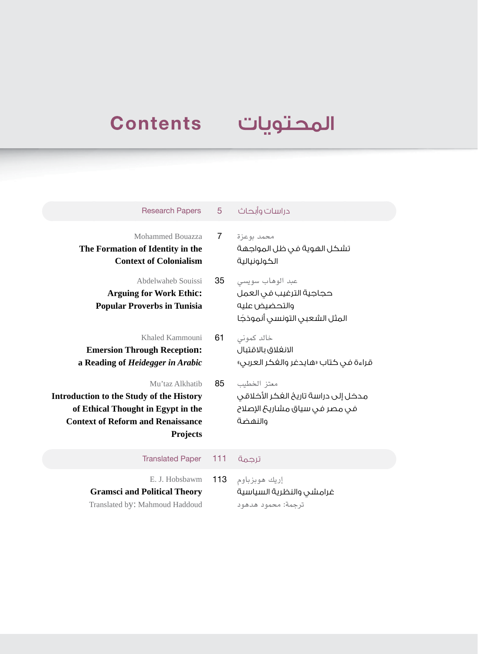## المحتويات Contents

| <b>Research Papers</b>                                                                                                                                                  | $5^{\circ}$    | دراسات وأبحاث                                                                                   |
|-------------------------------------------------------------------------------------------------------------------------------------------------------------------------|----------------|-------------------------------------------------------------------------------------------------|
| Mohammed Bouazza<br>The Formation of Identity in the<br><b>Context of Colonialism</b>                                                                                   | $\overline{7}$ | محمد يوعزة<br>تشكل الهوية فى ظل المواجهة<br>الكولونيالية                                        |
| Abdelwaheb Souissi<br><b>Arguing for Work Ethic:</b><br><b>Popular Proverbs in Tunisia</b>                                                                              | 35             | عبد الوهاب سويسي<br>حجاجية الترغيب فى العمل<br>والتحضيض عليه<br>المثل الشعبي التونسي أنموذجًا   |
| Khaled Kammouni<br><b>Emersion Through Reception:</b><br>a Reading of Heidegger in Arabic                                                                               | 61             | خالد كمونى<br>الانغلاق بالاقتبال<br>قراءة في كتاب «هايدغر والغكر العربي»                        |
| Mu'taz Alkhatib<br><b>Introduction to the Study of the History</b><br>of Ethical Thought in Egypt in the<br><b>Context of Reform and Renaissance</b><br><b>Projects</b> | 85             | معتز الخطيب<br>مدخل إلى دراسة تاريخ الغكر الأخلاقى<br>فى مصر فى سياق مشاريحَ الإصلاح<br>والنهضة |
| <b>Translated Paper</b>                                                                                                                                                 | 111            | ترحمة                                                                                           |
| E. J. Hobsbawm<br><b>Gramsci and Political Theory</b><br>Translated by: Mahmoud Haddoud                                                                                 | 113            | إريك هوبزباوم<br>غرامشي والنظرية السياسية<br>ترجمة: محمود هدهود                                 |